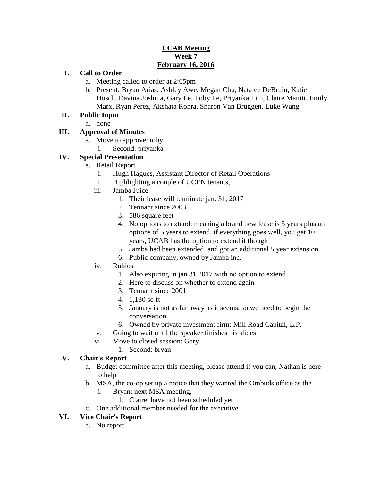### **UCAB Meeting Week 7 February 16, 2016**

### **I. Call to Order**

- a. Meeting called to order at 2:05pm
- b. Present: Bryan Arias, Ashley Awe, Megan Chu, Natalee DeBruin, Katie Hosch, Davina Joshuia, Gary Le, Toby Le, Priyanka Lim, Claire Maniti, Emily Marx, Ryan Perez, Akshata Rohra, Sharon Van Bruggen, Luke Wang

#### **II. Public Input**

a. none

## **III. Approval of Minutes**

- a. Move to approve: toby
	- i. Second: priyanka

## **IV. Special Presentation**

- a. Retail Report
	- i. Hugh Hagues, Assistant Director of Retail Operations
	- ii. Highlighting a couple of UCEN tenants,
	- iii. Jamba Juice
		- 1. Their lease will terminate jan. 31, 2017
			- 2. Tennant since 2003
			- 3. 586 square feet
			- 4. No options to extend: meaning a brand new lease is 5 years plus an options of 5 years to extend, if everything goes well, you get 10 years, UCAB has the option to extend it though
			- 5. Jamba had been extended, and got an additional 5 year extension
			- 6. Public company, owned by Jamba inc.
	- iv. Rubios
		- 1. Also expiring in jan 31 2017 with no option to extend
		- 2. Here to discuss on whether to extend again
		- 3. Tennant since 2001
		- 4. 1,130 sq ft
		- 5. January is not as far away as it seems, so we need to begin the conversation
		- 6. Owned by private investment firm: Mill Road Capital, L.P.
	- v. Going to wait until the speaker finishes his slides
	- vi. Move to closed session: Gary
		- 1. Second: bryan

#### **V. Chair's Report**

- a. Budget committee after this meeting, please attend if you can, Nathan is here to help
- b. MSA, the co-op set up a notice that they wanted the Ombuds office as the
	- i. Bryan: next MSA meeting,
		- 1. Claire: have not been scheduled yet
- c. One additional member needed for the executive

#### **VI. Vice Chair's Report**

a. No report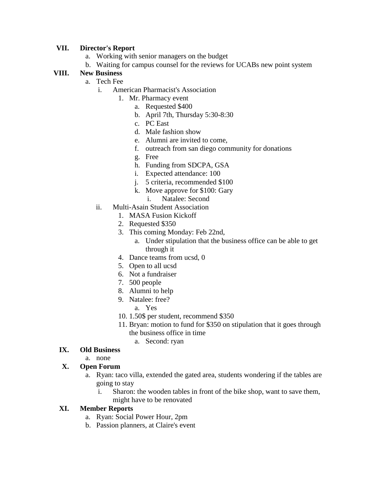#### **VII. Director's Report**

- a. Working with senior managers on the budget
- b. Waiting for campus counsel for the reviews for UCABs new point system

## **VIII. New Business**

- a. Tech Fee
	- i. American Pharmacist's Association
		- 1. Mr. Pharmacy event
			- a. Requested \$400
			- b. April 7th, Thursday 5:30-8:30
			- c. PC East
			- d. Male fashion show
			- e. Alumni are invited to come,
			- f. outreach from san diego community for donations
			- g. Free
			- h. Funding from SDCPA, GSA
			- i. Expected attendance: 100
			- j. 5 criteria, recommended \$100
			- k. Move approve for \$100: Gary
				- i. Natalee: Second
	- ii. Multi-Asain Student Association
		- 1. MASA Fusion Kickoff
		- 2. Requested \$350
		- 3. This coming Monday: Feb 22nd,
			- a. Under stipulation that the business office can be able to get through it
		- 4. Dance teams from ucsd, 0
		- 5. Open to all ucsd
		- 6. Not a fundraiser
		- 7. 500 people
		- 8. Alumni to help
		- 9. Natalee: free?
			- a. Yes
		- 10. 1.50\$ per student, recommend \$350
		- 11. Bryan: motion to fund for \$350 on stipulation that it goes through the business office in time
			- a. Second: ryan

#### **IX. Old Business**

a. none

#### **X. Open Forum**

- a. Ryan: taco villa, extended the gated area, students wondering if the tables are going to stay
	- i. Sharon: the wooden tables in front of the bike shop, want to save them, might have to be renovated

#### **XI. Member Reports**

- a. Ryan: Social Power Hour, 2pm
- b. Passion planners, at Claire's event